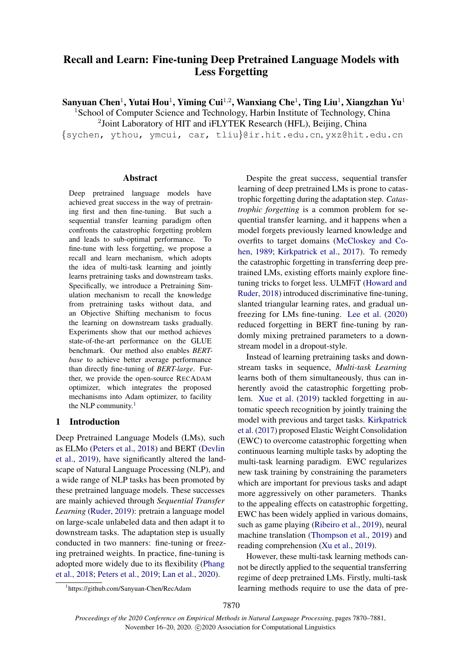# Recall and Learn: Fine-tuning Deep Pretrained Language Models with Less Forgetting

Sanyuan Chen $^1$ , Yutai Hou $^1$ , Yiming Cui $^{1,2}$ , Wanxiang Che $^1$ , Ting Liu $^1$ , Xiangzhan Yu $^1$ 

<sup>1</sup>School of Computer Science and Technology, Harbin Institute of Technology, China

<sup>2</sup>Joint Laboratory of HIT and iFLYTEK Research (HFL), Beijing, China

{sychen, ythou, ymcui, car, tliu}@ir.hit.edu.cn, yxz@hit.edu.cn

# Abstract

Deep pretrained language models have achieved great success in the way of pretraining first and then fine-tuning. But such a sequential transfer learning paradigm often confronts the catastrophic forgetting problem and leads to sub-optimal performance. To fine-tune with less forgetting, we propose a recall and learn mechanism, which adopts the idea of multi-task learning and jointly learns pretraining tasks and downstream tasks. Specifically, we introduce a Pretraining Simulation mechanism to recall the knowledge from pretraining tasks without data, and an Objective Shifting mechanism to focus the learning on downstream tasks gradually. Experiments show that our method achieves state-of-the-art performance on the GLUE benchmark. Our method also enables *BERTbase* to achieve better average performance than directly fine-tuning of *BERT-large*. Further, we provide the open-source RECADAM optimizer, which integrates the proposed mechanisms into Adam optimizer, to facility the NLP community. $<sup>1</sup>$  $<sup>1</sup>$  $<sup>1</sup>$ </sup>

# 1 Introduction

Deep Pretrained Language Models (LMs), such as ELMo [\(Peters et al.,](#page-9-0) [2018\)](#page-9-0) and BERT [\(Devlin](#page-8-0) [et al.,](#page-8-0) [2019\)](#page-8-0), have significantly altered the landscape of Natural Language Processing (NLP), and a wide range of NLP tasks has been promoted by these pretrained language models. These successes are mainly achieved through *Sequential Transfer Learning* [\(Ruder,](#page-10-0) [2019\)](#page-10-0): pretrain a language model on large-scale unlabeled data and then adapt it to downstream tasks. The adaptation step is usually conducted in two manners: fine-tuning or freezing pretrained weights. In practice, fine-tuning is adopted more widely due to its flexibility [\(Phang](#page-10-1) [et al.,](#page-10-1) [2018;](#page-10-1) [Peters et al.,](#page-10-2) [2019;](#page-10-2) [Lan et al.,](#page-9-1) [2020\)](#page-9-1).

Despite the great success, sequential transfer learning of deep pretrained LMs is prone to catastrophic forgetting during the adaptation step. *Catastrophic forgetting* is a common problem for sequential transfer learning, and it happens when a model forgets previously learned knowledge and overfits to target domains [\(McCloskey and Co](#page-9-2)[hen,](#page-9-2) [1989;](#page-9-2) [Kirkpatrick et al.,](#page-9-3) [2017\)](#page-9-3). To remedy the catastrophic forgetting in transferring deep pretrained LMs, existing efforts mainly explore finetuning tricks to forget less. ULMFiT [\(Howard and](#page-9-4) [Ruder,](#page-9-4) [2018\)](#page-9-4) introduced discriminative fine-tuning, slanted triangular learning rates, and gradual unfreezing for LMs fine-tuning. [Lee et al.](#page-9-5) [\(2020\)](#page-9-5) reduced forgetting in BERT fine-tuning by randomly mixing pretrained parameters to a downstream model in a dropout-style.

Instead of learning pretraining tasks and downstream tasks in sequence, *Multi-task Learning* learns both of them simultaneously, thus can inherently avoid the catastrophic forgetting problem. [Xue et al.](#page-10-3) [\(2019\)](#page-10-3) tackled forgetting in automatic speech recognition by jointly training the model with previous and target tasks. [Kirkpatrick](#page-9-3) [et al.](#page-9-3) [\(2017\)](#page-9-3) proposed Elastic Weight Consolidation (EWC) to overcome catastrophic forgetting when continuous learning multiple tasks by adopting the multi-task learning paradigm. EWC regularizes new task training by constraining the parameters which are important for previous tasks and adapt more aggressively on other parameters. Thanks to the appealing effects on catastrophic forgetting, EWC has been widely applied in various domains, such as game playing [\(Ribeiro et al.,](#page-10-4) [2019\)](#page-10-4), neural machine translation [\(Thompson et al.,](#page-10-5) [2019\)](#page-10-5) and reading comprehension [\(Xu et al.,](#page-10-6) [2019\)](#page-10-6).

However, these multi-task learning methods cannot be directly applied to the sequential transferring regime of deep pretrained LMs. Firstly, multi-task learning methods require to use the data of pre-

<span id="page-0-0"></span><sup>1</sup> https://github.com/Sanyuan-Chen/RecAdam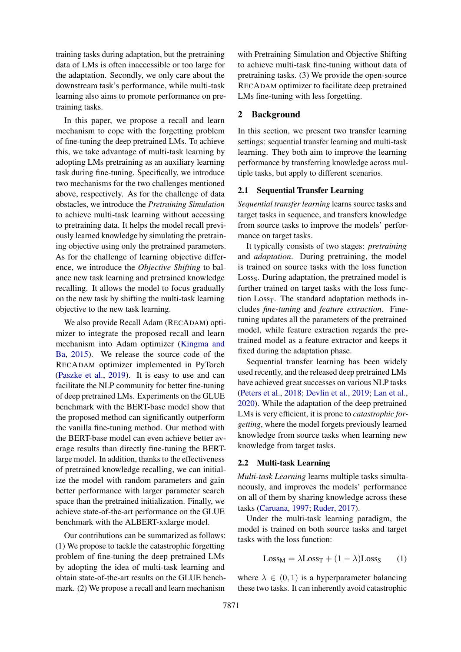training tasks during adaptation, but the pretraining data of LMs is often inaccessible or too large for the adaptation. Secondly, we only care about the downstream task's performance, while multi-task learning also aims to promote performance on pretraining tasks.

In this paper, we propose a recall and learn mechanism to cope with the forgetting problem of fine-tuning the deep pretrained LMs. To achieve this, we take advantage of multi-task learning by adopting LMs pretraining as an auxiliary learning task during fine-tuning. Specifically, we introduce two mechanisms for the two challenges mentioned above, respectively. As for the challenge of data obstacles, we introduce the *Pretraining Simulation* to achieve multi-task learning without accessing to pretraining data. It helps the model recall previously learned knowledge by simulating the pretraining objective using only the pretrained parameters. As for the challenge of learning objective difference, we introduce the *Objective Shifting* to balance new task learning and pretrained knowledge recalling. It allows the model to focus gradually on the new task by shifting the multi-task learning objective to the new task learning.

We also provide Recall Adam (RECADAM) optimizer to integrate the proposed recall and learn mechanism into Adam optimizer [\(Kingma and](#page-9-6) [Ba,](#page-9-6) [2015\)](#page-9-6). We release the source code of the RECADAM optimizer implemented in PyTorch [\(Paszke et al.,](#page-9-7) [2019\)](#page-9-7). It is easy to use and can facilitate the NLP community for better fine-tuning of deep pretrained LMs. Experiments on the GLUE benchmark with the BERT-base model show that the proposed method can significantly outperform the vanilla fine-tuning method. Our method with the BERT-base model can even achieve better average results than directly fine-tuning the BERTlarge model. In addition, thanks to the effectiveness of pretrained knowledge recalling, we can initialize the model with random parameters and gain better performance with larger parameter search space than the pretrained initialization. Finally, we achieve state-of-the-art performance on the GLUE benchmark with the ALBERT-xxlarge model.

Our contributions can be summarized as follows: (1) We propose to tackle the catastrophic forgetting problem of fine-tuning the deep pretrained LMs by adopting the idea of multi-task learning and obtain state-of-the-art results on the GLUE benchmark. (2) We propose a recall and learn mechanism with Pretraining Simulation and Objective Shifting to achieve multi-task fine-tuning without data of pretraining tasks. (3) We provide the open-source RECADAM optimizer to facilitate deep pretrained LMs fine-tuning with less forgetting.

# 2 Background

In this section, we present two transfer learning settings: sequential transfer learning and multi-task learning. They both aim to improve the learning performance by transferring knowledge across multiple tasks, but apply to different scenarios.

### <span id="page-1-0"></span>2.1 Sequential Transfer Learning

*Sequential transfer learning* learns source tasks and target tasks in sequence, and transfers knowledge from source tasks to improve the models' performance on target tasks.

It typically consists of two stages: *pretraining* and *adaptation*. During pretraining, the model is trained on source tasks with the loss function Loss<sub>S</sub>. During adaptation, the pretrained model is further trained on target tasks with the loss function  $Loss<sub>T</sub>$ . The standard adaptation methods includes *fine-tuning* and *feature extraction*. Finetuning updates all the parameters of the pretrained model, while feature extraction regards the pretrained model as a feature extractor and keeps it fixed during the adaptation phase.

Sequential transfer learning has been widely used recently, and the released deep pretrained LMs have achieved great successes on various NLP tasks [\(Peters et al.,](#page-9-0) [2018;](#page-9-0) [Devlin et al.,](#page-8-0) [2019;](#page-8-0) [Lan et al.,](#page-9-1) [2020\)](#page-9-1). While the adaptation of the deep pretrained LMs is very efficient, it is prone to *catastrophic forgetting*, where the model forgets previously learned knowledge from source tasks when learning new knowledge from target tasks.

# <span id="page-1-1"></span>2.2 Multi-task Learning

*Multi-task Learning* learns multiple tasks simultaneously, and improves the models' performance on all of them by sharing knowledge across these tasks [\(Caruana,](#page-8-1) [1997;](#page-8-1) [Ruder,](#page-10-7) [2017\)](#page-10-7).

Under the multi-task learning paradigm, the model is trained on both source tasks and target tasks with the loss function:

<span id="page-1-2"></span>
$$
Loss_M = \lambda Loss_T + (1 - \lambda) Loss_S \qquad (1)
$$

where  $\lambda \in (0,1)$  is a hyperparameter balancing these two tasks. It can inherently avoid catastrophic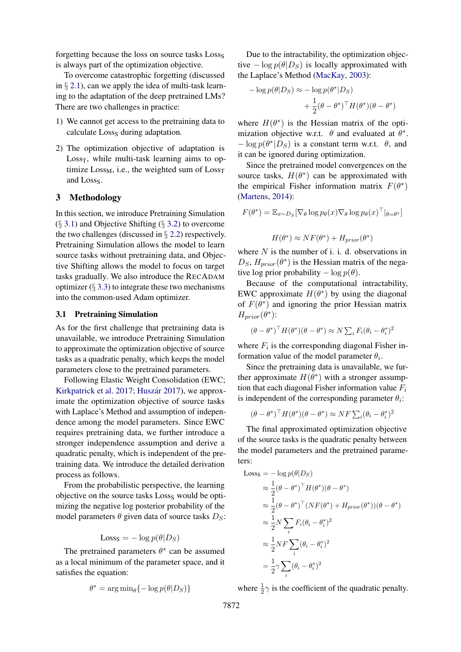forgetting because the loss on source tasks Losss is always part of the optimization objective.

To overcome catastrophic forgetting (discussed in  $\S$  [2.1\)](#page-1-0), can we apply the idea of multi-task learning to the adaptation of the deep pretrained LMs? There are two challenges in practice:

- 1) We cannot get access to the pretraining data to calculate Losss during adaptation.
- 2) The optimization objective of adaptation is Loss $_T$ , while multi-task learning aims to optimize  $Loss_{M}$ , i.e., the weighted sum of  $Loss_{T}$ and Losss.

### 3 Methodology

In this section, we introduce Pretraining Simulation  $(\S 3.1)$  $(\S 3.1)$  and Objective Shifting  $(\S 3.2)$  $(\S 3.2)$  to overcome the two challenges (discussed in  $\S$  [2.2\)](#page-1-1) respectively. Pretraining Simulation allows the model to learn source tasks without pretraining data, and Objective Shifting allows the model to focus on target tasks gradually. We also introduce the RECADAM optimizer  $(\S 3.3)$  $(\S 3.3)$  to integrate these two mechanisms into the common-used Adam optimizer.

#### <span id="page-2-0"></span>3.1 Pretraining Simulation

As for the first challenge that pretraining data is unavailable, we introduce Pretraining Simulation to approximate the optimization objective of source tasks as a quadratic penalty, which keeps the model parameters close to the pretrained parameters.

Following Elastic Weight Consolidation (EWC; [Kirkpatrick et al.](#page-9-3) [2017;](#page-9-3) Huszár [2017\)](#page-9-8), we approximate the optimization objective of source tasks with Laplace's Method and assumption of independence among the model parameters. Since EWC requires pretraining data, we further introduce a stronger independence assumption and derive a quadratic penalty, which is independent of the pretraining data. We introduce the detailed derivation process as follows.

From the probabilistic perspective, the learning objective on the source tasks Losss would be optimizing the negative log posterior probability of the model parameters  $\theta$  given data of source tasks  $D_S$ :

$$
Loss_S = -\log p(\theta|D_S)
$$

The pretrained parameters  $\theta^*$  can be assumed as a local minimum of the parameter space, and it satisfies the equation:

$$
\theta^* = \arg\min_{\theta} \{-\log p(\theta|D_S)\}
$$

Due to the intractability, the optimization objective  $-\log p(\theta|D_S)$  is locally approximated with the Laplace's Method [\(MacKay,](#page-9-9) [2003\)](#page-9-9):

$$
- \log p(\theta | D_S) \approx - \log p(\theta^* | D_S) + \frac{1}{2} (\theta - \theta^*)^\top H(\theta^*) (\theta - \theta^*)
$$

where  $H(\theta^*)$  is the Hessian matrix of the optimization objective w.r.t.  $\theta$  and evaluated at  $\theta^*$ .  $-\log p(\theta^*|D_S)$  is a constant term w.r.t.  $\theta$ , and it can be ignored during optimization.

Since the pretrained model convergences on the source tasks,  $H(\theta^*)$  can be approximated with the empirical Fisher information matrix  $F(\theta^*)$ [\(Martens,](#page-9-10) [2014\)](#page-9-10):

$$
F(\theta^*) = \mathbb{E}_{x \sim D_S} [\nabla_{\theta} \log p_{\theta}(x) \nabla_{\theta} \log p_{\theta}(x)^{\top}|_{\theta = \theta^*}]
$$

$$
H(\theta^*) \approx NF(\theta^*) + H_{prior}(\theta^*)
$$

where  $N$  is the number of i. i. d. observations in  $D_S$ ,  $H_{prior}(\theta^*)$  is the Hessian matrix of the negative log prior probability  $-\log p(\theta)$ .

Because of the computational intractability, EWC approximate  $H(\theta^*)$  by using the diagonal of  $F(\theta^*)$  and ignoring the prior Hessian matrix  $H_{prior}(\theta^*)$ :

$$
(\theta - \theta^*)^\top H(\theta^*)(\theta - \theta^*) \approx N \sum_i F_i (\theta_i - \theta_i^*)^2
$$

where  $F_i$  is the corresponding diagonal Fisher information value of the model parameter  $\theta_i$ .

Since the pretraining data is unavailable, we further approximate  $H(\theta^*)$  with a stronger assumption that each diagonal Fisher information value  $F_i$ is independent of the corresponding parameter  $\theta_i$ :

$$
(\theta - \theta^*)^{\top} H(\theta^*) (\theta - \theta^*) \approx NF \sum_i (\theta_i - \theta_i^*)^2
$$

The final approximated optimization objective of the source tasks is the quadratic penalty between the model parameters and the pretrained parameters:

Loss<sub>S</sub> = 
$$
-\log p(\theta|D_S)
$$
  
\n $\approx \frac{1}{2}(\theta - \theta^*)^\top H(\theta^*)(\theta - \theta^*)$   
\n $\approx \frac{1}{2}(\theta - \theta^*)^\top (NF(\theta^*) + H_{prior}(\theta^*))(\theta - \theta^*)$   
\n $\approx \frac{1}{2}N \sum_i F_i(\theta_i - \theta_i^*)^2$   
\n $\approx \frac{1}{2}NF \sum_i (\theta_i - \theta_i^*)^2$   
\n $= \frac{1}{2}\gamma \sum_i (\theta_i - \theta_i^*)^2$ 

where  $\frac{1}{2}\gamma$  is the coefficient of the quadratic penalty.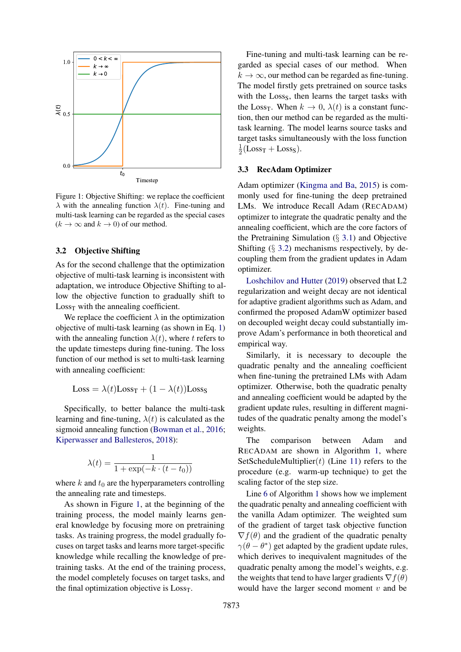<span id="page-3-2"></span>

Figure 1: Objective Shifting: we replace the coefficient  $\lambda$  with the annealing function  $\lambda(t)$ . Fine-tuning and multi-task learning can be regarded as the special cases  $(k \to \infty$  and  $k \to 0)$  of our method.

### <span id="page-3-0"></span>3.2 Objective Shifting

As for the second challenge that the optimization objective of multi-task learning is inconsistent with adaptation, we introduce Objective Shifting to allow the objective function to gradually shift to  $Loss<sub>T</sub>$  with the annealing coefficient.

We replace the coefficient  $\lambda$  in the optimization objective of multi-task learning (as shown in Eq. [1\)](#page-1-2) with the annealing function  $\lambda(t)$ , where t refers to the update timesteps during fine-tuning. The loss function of our method is set to multi-task learning with annealing coefficient:

$$
Loss = \lambda(t)Loss_T + (1 - \lambda(t))Loss_S
$$

Specifically, to better balance the multi-task learning and fine-tuning,  $\lambda(t)$  is calculated as the sigmoid annealing function [\(Bowman et al.,](#page-8-2) [2016;](#page-8-2) [Kiperwasser and Ballesteros,](#page-9-11) [2018\)](#page-9-11):

$$
\lambda(t) = \frac{1}{1 + \exp(-k \cdot (t - t_0))}
$$

where k and  $t_0$  are the hyperparameters controlling the annealing rate and timesteps.

As shown in Figure [1,](#page-3-2) at the beginning of the training process, the model mainly learns general knowledge by focusing more on pretraining tasks. As training progress, the model gradually focuses on target tasks and learns more target-specific knowledge while recalling the knowledge of pretraining tasks. At the end of the training process, the model completely focuses on target tasks, and the final optimization objective is  $Loss<sub>T</sub>$ .

Fine-tuning and multi-task learning can be regarded as special cases of our method. When  $k \to \infty$ , our method can be regarded as fine-tuning. The model firstly gets pretrained on source tasks with the Loss<sub>S</sub>, then learns the target tasks with the Loss<sub>T</sub>. When  $k \to 0$ ,  $\lambda(t)$  is a constant function, then our method can be regarded as the multitask learning. The model learns source tasks and target tasks simultaneously with the loss function 1  $\frac{1}{2}$ (Loss<sub>T</sub> + Loss<sub>S</sub>).

#### <span id="page-3-1"></span>3.3 RecAdam Optimizer

Adam optimizer [\(Kingma and Ba,](#page-9-6) [2015\)](#page-9-6) is commonly used for fine-tuning the deep pretrained LMs. We introduce Recall Adam (RECADAM) optimizer to integrate the quadratic penalty and the annealing coefficient, which are the core factors of the Pretraining Simulation  $(\S$  [3.1\)](#page-2-0) and Objective Shifting  $(\S$  [3.2\)](#page-3-0) mechanisms respectively, by decoupling them from the gradient updates in Adam optimizer.

[Loshchilov and Hutter](#page-9-12) [\(2019\)](#page-9-12) observed that L2 regularization and weight decay are not identical for adaptive gradient algorithms such as Adam, and confirmed the proposed AdamW optimizer based on decoupled weight decay could substantially improve Adam's performance in both theoretical and empirical way.

Similarly, it is necessary to decouple the quadratic penalty and the annealing coefficient when fine-tuning the pretrained LMs with Adam optimizer. Otherwise, both the quadratic penalty and annealing coefficient would be adapted by the gradient update rules, resulting in different magnitudes of the quadratic penalty among the model's weights.

The comparison between Adam and RECADAM are shown in Algorithm [1,](#page-4-0) where SetScheduleMultiplier $(t)$  (Line [11\)](#page-4-1) refers to the procedure (e.g. warm-up technique) to get the scaling factor of the step size.

Line [6](#page-4-2) of Algorithm [1](#page-4-0) shows how we implement the quadratic penalty and annealing coefficient with the vanilla Adam optimizer. The weighted sum of the gradient of target task objective function  $\nabla f(\theta)$  and the gradient of the quadratic penalty  $\gamma(\theta - \theta^*)$  get adapted by the gradient update rules, which derives to inequivalent magnitudes of the quadratic penalty among the model's weights, e.g. the weights that tend to have larger gradients  $\nabla f(\theta)$ would have the larger second moment  $v$  and be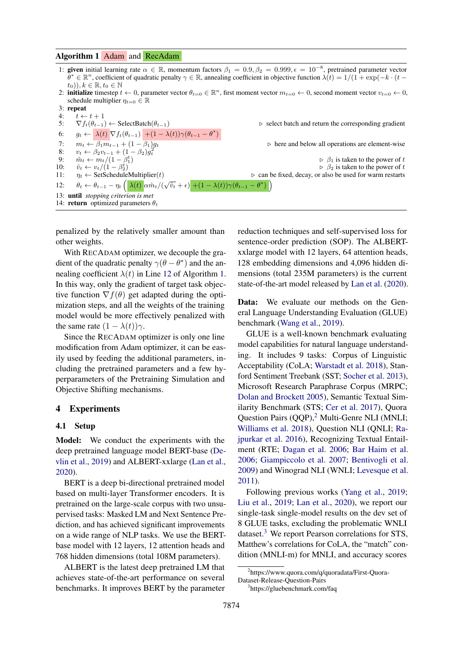#### <span id="page-4-0"></span>Algorithm 1 Adam and RecAdam

- 1: given initial learning rate  $\alpha \in \mathbb{R}$ , momentum factors  $\beta_1 = 0.9, \beta_2 = 0.999, \epsilon = 10^{-8}$ , pretrained parameter vector  $\theta^* \in \mathbb{R}^n$ , coefficient of quadratic penalty  $\gamma \in \mathbb{R}$ , annealing coefficient in objective function  $\lambda(t) = 1/(1 + \exp(-k \cdot (t (t_0)$ ),  $k \in \mathbb{R}$ ,  $t_0 \in \mathbb{N}$ 2: **initialize** timestep  $t \leftarrow 0$ , parameter vector  $\theta_{t=0} \in \mathbb{R}^n$ , first moment vector  $m_{t=0} \leftarrow 0$ , second moment vector  $v_{t=0} \leftarrow 0$ , schedule multiplier  $\eta_{t=0} \in \mathbb{R}$
- 3: repeat
- 
- 4:  $t \leftarrow t + 1$ <br>5:  $\nabla f_t(\theta_{t-1}) \leftarrow \text{SelectBatch}(\theta_{t-1})$
- 6:  $g_t \leftarrow \lambda(t) \nabla f_t(\theta_{t-1}) + (1 \lambda(t)) \gamma(\theta_{t-1} \theta^*)$
- 
- 8:  $v_t \leftarrow \beta_2 v_{t-1} + (1 \beta_2) g_t^2$
- 
- 10:  $\hat{v}_t \leftarrow v_t/(1-\beta_2^t)$

13: until *stopping criterion is met* 14: **return** optimized parameters  $\theta_t$ 

9:  $\hat{m}_t \leftarrow m_t/(1-\beta_1^t)$ 

5:  $\nabla f_t(\theta_{t-1}) \leftarrow \text{SelectBatch}(\theta_{t-1})$   $\triangleright$  select batch and return the corresponding gradient

7:  $m_t \leftarrow \overline{\beta_1 m_{t-1} + (1 - \overline{\beta_1}) g_t}$   $\triangleright$  here and below all operations are element-wise<br>8:  $v_t \leftarrow \beta_2 v_{t-1} + (1 - \beta_2) q_t^2$ 

 $\triangleright$   $\beta_1$  is taken to the power of t  $\hat{v}_t \leftarrow v_t/(1-\beta_2^t)$ <br>  $\gamma_t \leftarrow$  SetScheduleMultiplier(t)  $\gamma_t \leftarrow$  SetScheduleMultiplier(t)  $\gamma_t \leftarrow$  SetScheduleMultiplier(t) 11:  $\eta_t \leftarrow$  SetScheduleMultiplier(t)  $\triangleright$  can be fixed, decay, or also be used for warm restarts 12:  $\theta_t \leftarrow \theta_{t-1} - \eta_t \left( \frac{\lambda(t)}{\alpha \hat{m}_t}/(\sqrt{\hat{v}_t} + \epsilon) + (1 - \lambda(t))\gamma(\theta_{t-1} - \theta^*) \right)$  $\mathcal{L}$ 

penalized by the relatively smaller amount than other weights.

With RECADAM optimizer, we decouple the gradient of the quadratic penalty  $\gamma(\theta - \theta^*)$  and the annealing coefficient  $\lambda(t)$  in Line [12](#page-4-3) of Algorithm [1.](#page-4-0) In this way, only the gradient of target task objective function  $\nabla f(\theta)$  get adapted during the optimization steps, and all the weights of the training model would be more effectively penalized with the same rate  $(1 - \lambda(t))\gamma$ .

Since the RECADAM optimizer is only one line modification from Adam optimizer, it can be easily used by feeding the additional parameters, including the pretrained parameters and a few hyperparameters of the Pretraining Simulation and Objective Shifting mechanisms.

#### 4 Experiments

#### 4.1 Setup

Model: We conduct the experiments with the deep pretrained language model BERT-base [\(De](#page-8-0)[vlin et al.,](#page-8-0) [2019\)](#page-8-0) and ALBERT-xxlarge [\(Lan et al.,](#page-9-1) [2020\)](#page-9-1).

BERT is a deep bi-directional pretrained model based on multi-layer Transformer encoders. It is pretrained on the large-scale corpus with two unsupervised tasks: Masked LM and Next Sentence Prediction, and has achieved significant improvements on a wide range of NLP tasks. We use the BERTbase model with 12 layers, 12 attention heads and 768 hidden dimensions (total 108M parameters).

ALBERT is the latest deep pretrained LM that achieves state-of-the-art performance on several benchmarks. It improves BERT by the parameter <span id="page-4-3"></span><span id="page-4-2"></span><span id="page-4-1"></span>reduction techniques and self-supervised loss for sentence-order prediction (SOP). The ALBERTxxlarge model with 12 layers, 64 attention heads, 128 embedding dimensions and 4,096 hidden dimensions (total 235M parameters) is the current state-of-the-art model released by [Lan et al.](#page-9-1) [\(2020\)](#page-9-1).

Data: We evaluate our methods on the General Language Understanding Evaluation (GLUE) benchmark [\(Wang et al.,](#page-10-8) [2019\)](#page-10-8).

GLUE is a well-known benchmark evaluating model capabilities for natural language understanding. It includes 9 tasks: Corpus of Linguistic Acceptability (CoLA; [Warstadt et al.](#page-10-9) [2018\)](#page-10-9), Stanford Sentiment Treebank (SST; [Socher et al.](#page-10-10) [2013\)](#page-10-10), Microsoft Research Paraphrase Corpus (MRPC; [Dolan and Brockett](#page-8-3) [2005\)](#page-8-3), Semantic Textual Similarity Benchmark (STS; [Cer et al.](#page-8-4) [2017\)](#page-8-4), Quora Question Pairs (QQP),<sup>[2](#page-4-4)</sup> Multi-Genre NLI (MNLI; [Williams et al.](#page-10-11) [2018\)](#page-10-11), Question NLI (QNLI; [Ra](#page-10-12)[jpurkar et al.](#page-10-12) [2016\)](#page-10-12), Recognizing Textual Entailment (RTE; [Dagan et al.](#page-8-5) [2006;](#page-8-5) [Bar Haim et al.](#page-8-6) [2006;](#page-8-6) [Giampiccolo et al.](#page-8-7) [2007;](#page-8-7) [Bentivogli et al.](#page-8-8) [2009\)](#page-8-8) and Winograd NLI (WNLI; [Levesque et al.](#page-9-13) [2011\)](#page-9-13).

Following previous works [\(Yang et al.,](#page-10-13) [2019;](#page-10-13) [Liu et al.,](#page-9-14) [2019;](#page-9-14) [Lan et al.,](#page-9-1) [2020\)](#page-9-1), we report our single-task single-model results on the dev set of 8 GLUE tasks, excluding the problematic WNLI dataset. $3$  We report Pearson correlations for STS, Matthew's correlations for CoLA, the "match" condition (MNLI-m) for MNLI, and accuracy scores

<span id="page-4-4"></span><sup>2</sup> https://www.quora.com/q/quoradata/First-Quora-Dataset-Release-Question-Pairs

<span id="page-4-5"></span><sup>3</sup> https://gluebenchmark.com/faq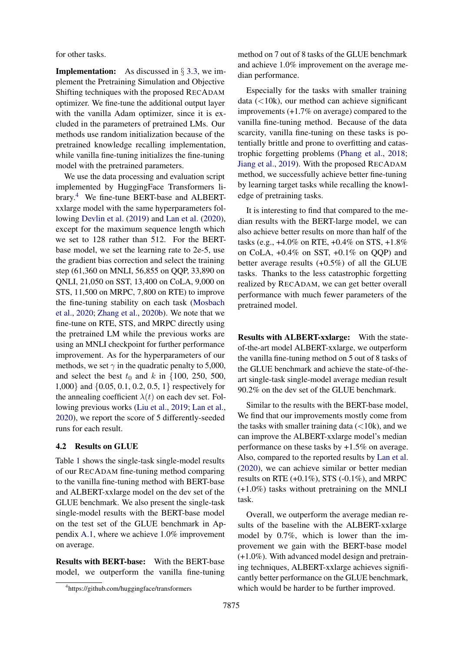for other tasks.

**Implementation:** As discussed in  $\S$  [3.3,](#page-3-1) we implement the Pretraining Simulation and Objective Shifting techniques with the proposed RECADAM optimizer. We fine-tune the additional output layer with the vanilla Adam optimizer, since it is excluded in the parameters of pretrained LMs. Our methods use random initialization because of the pretrained knowledge recalling implementation, while vanilla fine-tuning initializes the fine-tuning model with the pretrained parameters.

We use the data processing and evaluation script implemented by HuggingFace Transformers library.[4](#page-5-0) We fine-tune BERT-base and ALBERTxxlarge model with the same hyperparameters following [Devlin et al.](#page-8-0) [\(2019\)](#page-8-0) and [Lan et al.](#page-9-1) [\(2020\)](#page-9-1), except for the maximum sequence length which we set to 128 rather than 512. For the BERTbase model, we set the learning rate to 2e-5, use the gradient bias correction and select the training step (61,360 on MNLI, 56,855 on QQP, 33,890 on QNLI, 21,050 on SST, 13,400 on CoLA, 9,000 on STS, 11,500 on MRPC, 7,800 on RTE) to improve the fine-tuning stability on each task [\(Mosbach](#page-9-15) [et al.,](#page-9-15) [2020;](#page-9-15) [Zhang et al.,](#page-10-14) [2020b\)](#page-10-14). We note that we fine-tune on RTE, STS, and MRPC directly using the pretrained LM while the previous works are using an MNLI checkpoint for further performance improvement. As for the hyperparameters of our methods, we set  $\gamma$  in the quadratic penalty to 5,000, and select the best  $t_0$  and k in {100, 250, 500, 1,000} and {0.05, 0.1, 0.2, 0.5, 1} respectively for the annealing coefficient  $\lambda(t)$  on each dev set. Following previous works [\(Liu et al.,](#page-9-14) [2019;](#page-9-14) [Lan et al.,](#page-9-1) [2020\)](#page-9-1), we report the score of 5 differently-seeded runs for each result.

#### <span id="page-5-1"></span>4.2 Results on GLUE

Table [1](#page-6-0) shows the single-task single-model results of our RECADAM fine-tuning method comparing to the vanilla fine-tuning method with BERT-base and ALBERT-xxlarge model on the dev set of the GLUE benchmark. We also present the single-task single-model results with the BERT-base model on the test set of the GLUE benchmark in Appendix [A.1,](#page-11-0) where we achieve 1.0% improvement on average.

Results with BERT-base: With the BERT-base model, we outperform the vanilla fine-tuning

Especially for the tasks with smaller training data  $\left($ <10k), our method can achieve significant improvements (+1.7% on average) compared to the vanilla fine-tuning method. Because of the data scarcity, vanilla fine-tuning on these tasks is potentially brittle and prone to overfitting and catastrophic forgetting problems [\(Phang et al.,](#page-10-1) [2018;](#page-10-1) [Jiang et al.,](#page-9-16) [2019\)](#page-9-16). With the proposed RECADAM method, we successfully achieve better fine-tuning by learning target tasks while recalling the knowledge of pretraining tasks.

It is interesting to find that compared to the median results with the BERT-large model, we can also achieve better results on more than half of the tasks (e.g., +4.0% on RTE, +0.4% on STS, +1.8% on CoLA, +0.4% on SST, +0.1% on QQP) and better average results (+0.5%) of all the GLUE tasks. Thanks to the less catastrophic forgetting realized by RECADAM, we can get better overall performance with much fewer parameters of the pretrained model.

Results with ALBERT-xxlarge: With the stateof-the-art model ALBERT-xxlarge, we outperform the vanilla fine-tuning method on 5 out of 8 tasks of the GLUE benchmark and achieve the state-of-theart single-task single-model average median result 90.2% on the dev set of the GLUE benchmark.

Similar to the results with the BERT-base model, We find that our improvements mostly come from the tasks with smaller training data  $\left($  < 10k), and we can improve the ALBERT-xxlarge model's median performance on these tasks by +1.5% on average. Also, compared to the reported results by [Lan et al.](#page-9-1) [\(2020\)](#page-9-1), we can achieve similar or better median results on RTE  $(+0.1\%)$ , STS  $(-0.1\%)$ , and MRPC (+1.0%) tasks without pretraining on the MNLI task.

Overall, we outperform the average median results of the baseline with the ALBERT-xxlarge model by 0.7%, which is lower than the improvement we gain with the BERT-base model (+1.0%). With advanced model design and pretraining techniques, ALBERT-xxlarge achieves significantly better performance on the GLUE benchmark, which would be harder to be further improved.

method on 7 out of 8 tasks of the GLUE benchmark and achieve 1.0% improvement on the average median performance.

<span id="page-5-0"></span><sup>4</sup> https://github.com/huggingface/transformers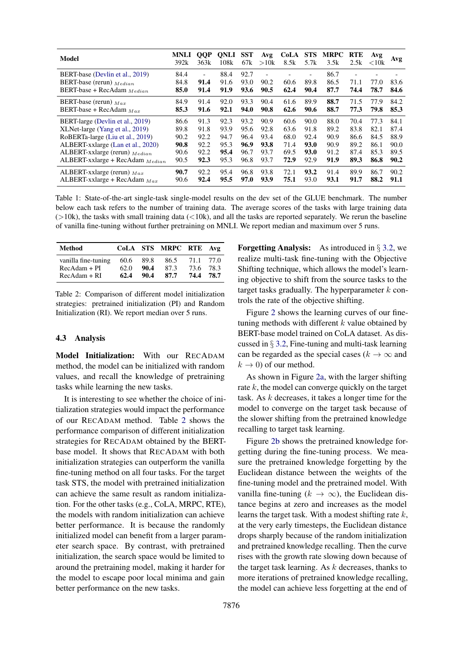<span id="page-6-0"></span>

| <b>Model</b>                         | <b>MNLI</b><br>392k | <b>QQP</b><br>363k       | <b>QNLI</b><br>108k | <b>SST</b><br>67k | Avg<br>>10k              | CoLA<br>8.5k | <b>STS</b><br>5.7k | <b>MRPC</b><br>3.5k | <b>RTE</b><br>2.5k       | Avg<br>${<}10k$ | Avg  |
|--------------------------------------|---------------------|--------------------------|---------------------|-------------------|--------------------------|--------------|--------------------|---------------------|--------------------------|-----------------|------|
| BERT-base (Devlin et al., 2019)      | 84.4                | $\overline{\phantom{0}}$ | 88.4                | 92.7              | $\overline{\phantom{a}}$ |              | ٠                  | 86.7                | $\overline{\phantom{a}}$ |                 |      |
| BERT-base (rerun) $_{Median}$        | 84.8                | 91.4                     | 91.6                | 93.0              | 90.2                     | 60.6         | 89.8               | 86.5                | 71.1                     | 77.0            | 83.6 |
| BERT-base + RecAdam $Median$         | 85.0                | 91.4                     | 91.9                | 93.6              | 90.5                     | 62.4         | 90.4               | 87.7                | 74.4                     | 78.7            | 84.6 |
| BERT-base (rerun) $_{Max}$           | 84.9                | 91.4                     | 92.0                | 93.3              | 90.4                     | 61.6         | 89.9               | 88.7                | 71.5                     | 77.9            | 84.2 |
| BERT-base + RecAdam $_{Max}$         | 85.3                | 91.6                     | 92.1                | 94.0              | 90.8                     | 62.6         | 90.6               | 88.7                | 77.3                     | 79.8            | 85.3 |
| BERT-large (Devlin et al., 2019)     | 86.6                | 91.3                     | 92.3                | 93.2              | 90.9                     | 60.6         | 90.0               | 88.0                | 70.4                     | 77.3            | 84.1 |
| XLNet-large (Yang et al., 2019)      | 89.8                | 91.8                     | 93.9                | 95.6              | 92.8                     | 63.6         | 91.8               | 89.2                | 83.8                     | 82.1            | 87.4 |
| RoBERTa-large (Liu et al., 2019)     | 90.2                | 92.2                     | 94.7                | 96.4              | 93.4                     | 68.0         | 92.4               | 90.9                | 86.6                     | 84.5            | 88.9 |
| ALBERT-xxlarge (Lan et al., 2020)    | 90.8                | 92.2                     | 95.3                | 96.9              | 93.8                     | 71.4         | 93.0               | 90.9                | 89.2                     | 86.1            | 90.0 |
| ALBERT-xxlarge (rerun) $_{Median}$   | 90.6                | 92.2                     | 95.4                | 96.7              | 93.7                     | 69.5         | 93.0               | 91.2                | 87.4                     | 85.3            | 89.5 |
| ALBERT-xxlarge + RecAdam $_{Median}$ | 90.5                | 92.3                     | 95.3                | 96.8              | 93.7                     | 72.9         | 92.9               | 91.9                | 89.3                     | 86.8            | 90.2 |
| ALBERT-xxlarge (rerun) $_{Max}$      | 90.7                | 92.2                     | 95.4                | 96.8              | 93.8                     | 72.1         | 93.2               | 91.4                | 89.9                     | 86.7            | 90.2 |
| ALBERT-xxlarge + RecAdam $_{Max}$    | 90.6                | 92.4                     | 95.5                | 97.0              | 93.9                     | 75.1         | 93.0               | 93.1                | 91.7                     | 88.2            | 91.1 |

Table 1: State-of-the-art single-task single-model results on the dev set of the GLUE benchmark. The number below each task refers to the number of training data. The average scores of the tasks with large training data  $(>10k)$ , the tasks with small training data  $(<10k)$ , and all the tasks are reported separately. We rerun the baseline of vanilla fine-tuning without further pretraining on MNLI. We report median and maximum over 5 runs.

<span id="page-6-1"></span>

| Method                                |              |              | CoLA STS MRPC RTE Avg |              |              |  |
|---------------------------------------|--------------|--------------|-----------------------|--------------|--------------|--|
| vanilla fine-tuning<br>$RecAdam + PI$ | 60.6<br>62.0 | 89.8<br>90.4 | 86.5<br>87.3          | 71.1<br>73.6 | 77.O<br>78.3 |  |
| $RecAdam + RI$                        | 62.4         | 90.4         | 87.7                  | 74.4         | 78.7         |  |

Table 2: Comparison of different model initialization strategies: pretrained initialization (PI) and Random Initialization (RI). We report median over 5 runs.

#### 4.3 Analysis

Model Initialization: With our RECADAM method, the model can be initialized with random values, and recall the knowledge of pretraining tasks while learning the new tasks.

It is interesting to see whether the choice of initialization strategies would impact the performance of our RECADAM method. Table [2](#page-6-1) shows the performance comparison of different initialization strategies for RECADAM obtained by the BERTbase model. It shows that RECADAM with both initialization strategies can outperform the vanilla fine-tuning method on all four tasks. For the target task STS, the model with pretrained initialization can achieve the same result as random initialization. For the other tasks (e.g., CoLA, MRPC, RTE), the models with random initialization can achieve better performance. It is because the randomly initialized model can benefit from a larger parameter search space. By contrast, with pretrained initialization, the search space would be limited to around the pretraining model, making it harder for the model to escape poor local minima and gain better performance on the new tasks.

**Forgetting Analysis:** As introduced in  $\S$  [3.2,](#page-3-0) we realize multi-task fine-tuning with the Objective Shifting technique, which allows the model's learning objective to shift from the source tasks to the target tasks gradually. The hyperparameter  $k$  controls the rate of the objective shifting.

Figure [2](#page-7-0) shows the learning curves of our finetuning methods with different  $k$  value obtained by BERT-base model trained on CoLA dataset. As discussed in § [3.2,](#page-3-0) Fine-tuning and multi-task learning can be regarded as the special cases ( $k \to \infty$  and  $k \to 0$ ) of our method.

As shown in Figure [2a,](#page-7-1) with the larger shifting rate  $k$ , the model can converge quickly on the target task. As  $k$  decreases, it takes a longer time for the model to converge on the target task because of the slower shifting from the pretrained knowledge recalling to target task learning.

Figure [2b](#page-7-2) shows the pretrained knowledge forgetting during the fine-tuning process. We measure the pretrained knowledge forgetting by the Euclidean distance between the weights of the fine-tuning model and the pretrained model. With vanilla fine-tuning  $(k \to \infty)$ , the Euclidean distance begins at zero and increases as the model learns the target task. With a modest shifting rate  $k$ , at the very early timesteps, the Euclidean distance drops sharply because of the random initialization and pretrained knowledge recalling. Then the curve rises with the growth rate slowing down because of the target task learning. As  $k$  decreases, thanks to more iterations of pretrained knowledge recalling, the model can achieve less forgetting at the end of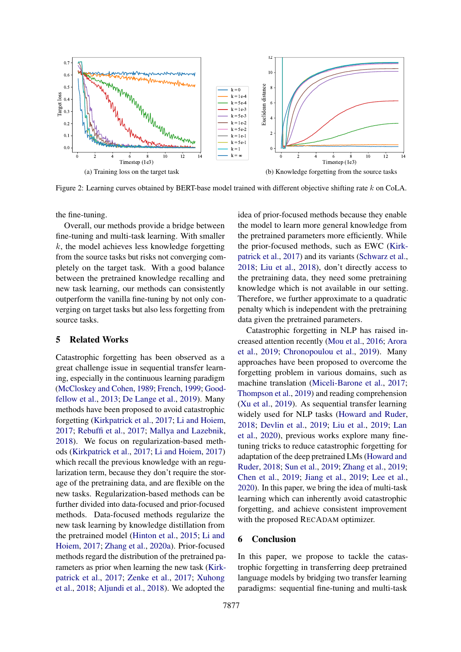<span id="page-7-1"></span><span id="page-7-0"></span>

Figure 2: Learning curves obtained by BERT-base model trained with different objective shifting rate k on CoLA.

the fine-tuning.

Overall, our methods provide a bridge between fine-tuning and multi-task learning. With smaller  $k$ , the model achieves less knowledge forgetting from the source tasks but risks not converging completely on the target task. With a good balance between the pretrained knowledge recalling and new task learning, our methods can consistently outperform the vanilla fine-tuning by not only converging on target tasks but also less forgetting from source tasks.

# 5 Related Works

Catastrophic forgetting has been observed as a great challenge issue in sequential transfer learning, especially in the continuous learning paradigm [\(McCloskey and Cohen,](#page-9-2) [1989;](#page-9-2) [French,](#page-8-9) [1999;](#page-8-9) [Good](#page-8-10)[fellow et al.,](#page-8-10) [2013;](#page-8-10) [De Lange et al.,](#page-8-11) [2019\)](#page-8-11). Many methods have been proposed to avoid catastrophic forgetting [\(Kirkpatrick et al.,](#page-9-3) [2017;](#page-9-3) [Li and Hoiem,](#page-9-17) [2017;](#page-9-17) [Rebuffi et al.,](#page-10-15) [2017;](#page-10-15) [Mallya and Lazebnik,](#page-9-18) [2018\)](#page-9-18). We focus on regularization-based methods [\(Kirkpatrick et al.,](#page-9-3) [2017;](#page-9-3) [Li and Hoiem,](#page-9-17) [2017\)](#page-9-17) which recall the previous knowledge with an regularization term, because they don't require the storage of the pretraining data, and are flexible on the new tasks. Regularization-based methods can be further divided into data-focused and prior-focused methods. Data-focused methods regularize the new task learning by knowledge distillation from the pretrained model [\(Hinton et al.,](#page-8-12) [2015;](#page-8-12) [Li and](#page-9-17) [Hoiem,](#page-9-17) [2017;](#page-9-17) [Zhang et al.,](#page-10-16) [2020a\)](#page-10-16). Prior-focused methods regard the distribution of the pretrained parameters as prior when learning the new task [\(Kirk](#page-9-3)[patrick et al.,](#page-9-3) [2017;](#page-9-3) [Zenke et al.,](#page-10-17) [2017;](#page-10-17) [Xuhong](#page-10-18) [et al.,](#page-10-18) [2018;](#page-10-18) [Aljundi et al.,](#page-8-13) [2018\)](#page-8-13). We adopted the

<span id="page-7-2"></span>idea of prior-focused methods because they enable the model to learn more general knowledge from the pretrained parameters more efficiently. While the prior-focused methods, such as EWC [\(Kirk](#page-9-3)[patrick et al.,](#page-9-3) [2017\)](#page-9-3) and its variants [\(Schwarz et al.,](#page-10-19) [2018;](#page-10-19) [Liu et al.,](#page-9-19) [2018\)](#page-9-19), don't directly access to the pretraining data, they need some pretraining knowledge which is not available in our setting. Therefore, we further approximate to a quadratic penalty which is independent with the pretraining data given the pretrained parameters.

Catastrophic forgetting in NLP has raised increased attention recently [\(Mou et al.,](#page-9-20) [2016;](#page-9-20) [Arora](#page-8-14) [et al.,](#page-8-14) [2019;](#page-8-14) [Chronopoulou et al.,](#page-8-15) [2019\)](#page-8-15). Many approaches have been proposed to overcome the forgetting problem in various domains, such as machine translation [\(Miceli-Barone et al.,](#page-9-21) [2017;](#page-9-21) [Thompson et al.,](#page-10-5) [2019\)](#page-10-5) and reading comprehension [\(Xu et al.,](#page-10-6) [2019\)](#page-10-6). As sequential transfer learning widely used for NLP tasks [\(Howard and Ruder,](#page-9-4) [2018;](#page-9-4) [Devlin et al.,](#page-8-0) [2019;](#page-8-0) [Liu et al.,](#page-9-14) [2019;](#page-9-14) [Lan](#page-9-1) [et al.,](#page-9-1) [2020\)](#page-9-1), previous works explore many finetuning tricks to reduce catastrophic forgetting for adaptation of the deep pretrained LMs [\(Howard and](#page-9-4) [Ruder,](#page-9-4) [2018;](#page-9-4) [Sun et al.,](#page-10-20) [2019;](#page-10-20) [Zhang et al.,](#page-10-21) [2019;](#page-10-21) [Chen et al.,](#page-8-16) [2019;](#page-8-16) [Jiang et al.,](#page-9-16) [2019;](#page-9-16) [Lee et al.,](#page-9-5) [2020\)](#page-9-5). In this paper, we bring the idea of multi-task learning which can inherently avoid catastrophic forgetting, and achieve consistent improvement with the proposed RECADAM optimizer.

# 6 Conclusion

In this paper, we propose to tackle the catastrophic forgetting in transferring deep pretrained language models by bridging two transfer learning paradigms: sequential fine-tuning and multi-task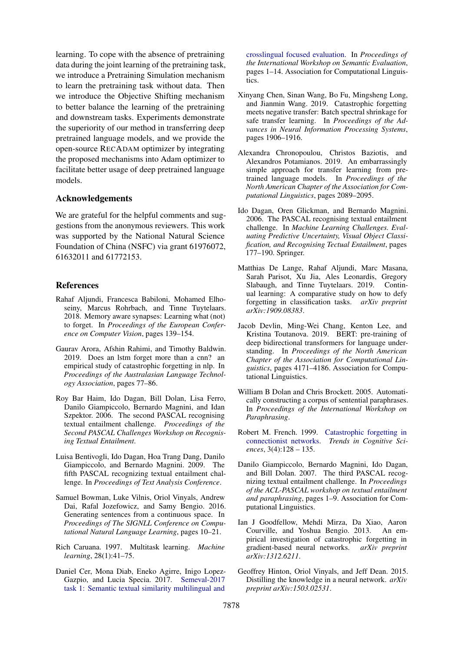learning. To cope with the absence of pretraining data during the joint learning of the pretraining task, we introduce a Pretraining Simulation mechanism to learn the pretraining task without data. Then we introduce the Objective Shifting mechanism to better balance the learning of the pretraining and downstream tasks. Experiments demonstrate the superiority of our method in transferring deep pretrained language models, and we provide the open-source RECADAM optimizer by integrating the proposed mechanisms into Adam optimizer to facilitate better usage of deep pretrained language models.

# Acknowledgements

We are grateful for the helpful comments and suggestions from the anonymous reviewers. This work was supported by the National Natural Science Foundation of China (NSFC) via grant 61976072, 61632011 and 61772153.

#### **References**

- <span id="page-8-13"></span>Rahaf Aljundi, Francesca Babiloni, Mohamed Elhoseiny, Marcus Rohrbach, and Tinne Tuytelaars. 2018. Memory aware synapses: Learning what (not) to forget. In *Proceedings of the European Conference on Computer Vision*, pages 139–154.
- <span id="page-8-14"></span>Gaurav Arora, Afshin Rahimi, and Timothy Baldwin. 2019. Does an lstm forget more than a cnn? an empirical study of catastrophic forgetting in nlp. In *Proceedings of the Australasian Language Technology Association*, pages 77–86.
- <span id="page-8-6"></span>Roy Bar Haim, Ido Dagan, Bill Dolan, Lisa Ferro, Danilo Giampiccolo, Bernardo Magnini, and Idan Szpektor. 2006. The second PASCAL recognising textual entailment challenge. *Proceedings of the Second PASCAL Challenges Workshop on Recognising Textual Entailment*.
- <span id="page-8-8"></span>Luisa Bentivogli, Ido Dagan, Hoa Trang Dang, Danilo Giampiccolo, and Bernardo Magnini. 2009. The fifth PASCAL recognizing textual entailment challenge. In *Proceedings of Text Analysis Conference*.
- <span id="page-8-2"></span>Samuel Bowman, Luke Vilnis, Oriol Vinyals, Andrew Dai, Rafal Jozefowicz, and Samy Bengio. 2016. Generating sentences from a continuous space. In *Proceedings of The SIGNLL Conference on Computational Natural Language Learning*, pages 10–21.
- <span id="page-8-1"></span>Rich Caruana. 1997. Multitask learning. *Machine learning*, 28(1):41–75.
- <span id="page-8-4"></span>Daniel Cer, Mona Diab, Eneko Agirre, Inigo Lopez-Gazpio, and Lucia Specia. 2017. [Semeval-2017](https://doi.org/10.18653/v1/S17-2001) [task 1: Semantic textual similarity multilingual and](https://doi.org/10.18653/v1/S17-2001)

[crosslingual focused evaluation.](https://doi.org/10.18653/v1/S17-2001) In *Proceedings of the International Workshop on Semantic Evaluation*, pages 1–14. Association for Computational Linguistics.

- <span id="page-8-16"></span>Xinyang Chen, Sinan Wang, Bo Fu, Mingsheng Long, and Jianmin Wang. 2019. Catastrophic forgetting meets negative transfer: Batch spectral shrinkage for safe transfer learning. In *Proceedings of the Advances in Neural Information Processing Systems*, pages 1906–1916.
- <span id="page-8-15"></span>Alexandra Chronopoulou, Christos Baziotis, and Alexandros Potamianos. 2019. An embarrassingly simple approach for transfer learning from pretrained language models. In *Proceedings of the North American Chapter of the Association for Computational Linguistics*, pages 2089–2095.
- <span id="page-8-5"></span>Ido Dagan, Oren Glickman, and Bernardo Magnini. 2006. The PASCAL recognising textual entailment challenge. In *Machine Learning Challenges. Evaluating Predictive Uncertainty, Visual Object Classification, and Recognising Tectual Entailment*, pages 177–190. Springer.
- <span id="page-8-11"></span>Matthias De Lange, Rahaf Aljundi, Marc Masana, Sarah Parisot, Xu Jia, Ales Leonardis, Gregory Slabaugh, and Tinne Tuytelaars. 2019. Continual learning: A comparative study on how to defy forgetting in classification tasks. *arXiv preprint arXiv:1909.08383*.
- <span id="page-8-0"></span>Jacob Devlin, Ming-Wei Chang, Kenton Lee, and Kristina Toutanova. 2019. BERT: pre-training of deep bidirectional transformers for language understanding. In *Proceedings of the North American Chapter of the Association for Computational Linguistics*, pages 4171–4186. Association for Computational Linguistics.
- <span id="page-8-3"></span>William B Dolan and Chris Brockett. 2005. Automatically constructing a corpus of sentential paraphrases. In *Proceedings of the International Workshop on Paraphrasing*.
- <span id="page-8-9"></span>Robert M. French. 1999. [Catastrophic forgetting in](https://doi.org/https://doi.org/10.1016/S1364-6613(99)01294-2) [connectionist networks.](https://doi.org/https://doi.org/10.1016/S1364-6613(99)01294-2) *Trends in Cognitive Sciences*, 3(4):128 – 135.
- <span id="page-8-7"></span>Danilo Giampiccolo, Bernardo Magnini, Ido Dagan, and Bill Dolan. 2007. The third PASCAL recognizing textual entailment challenge. In *Proceedings of the ACL-PASCAL workshop on textual entailment and paraphrasing*, pages 1–9. Association for Computational Linguistics.
- <span id="page-8-10"></span>Ian J Goodfellow, Mehdi Mirza, Da Xiao, Aaron Courville, and Yoshua Bengio. 2013. An empirical investigation of catastrophic forgetting in gradient-based neural networks. *arXiv preprint arXiv:1312.6211*.
- <span id="page-8-12"></span>Geoffrey Hinton, Oriol Vinyals, and Jeff Dean. 2015. Distilling the knowledge in a neural network. *arXiv preprint arXiv:1503.02531*.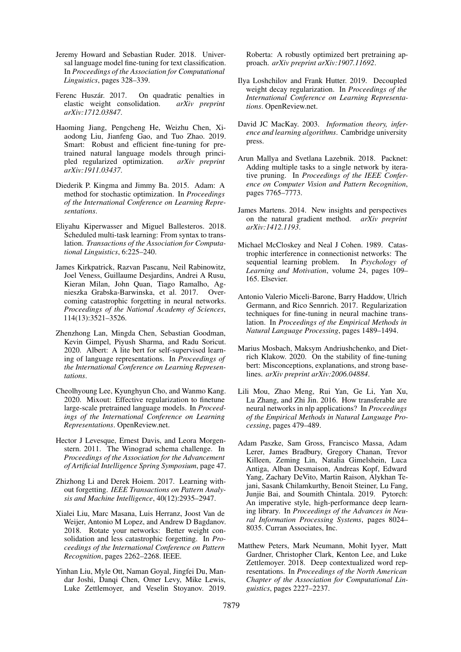- <span id="page-9-4"></span>Jeremy Howard and Sebastian Ruder. 2018. Universal language model fine-tuning for text classification. In *Proceedings of the Association for Computational Linguistics*, pages 328–339.
- <span id="page-9-8"></span>Ferenc Huszár. 2017. On quadratic penalties in elastic weight consolidation. *arXiv preprint arXiv:1712.03847*.
- <span id="page-9-16"></span>Haoming Jiang, Pengcheng He, Weizhu Chen, Xiaodong Liu, Jianfeng Gao, and Tuo Zhao. 2019. Smart: Robust and efficient fine-tuning for pretrained natural language models through principled regularized optimization. *arXiv preprint arXiv:1911.03437*.
- <span id="page-9-6"></span>Diederik P. Kingma and Jimmy Ba. 2015. Adam: A method for stochastic optimization. In *Proceedings of the International Conference on Learning Representations*.
- <span id="page-9-11"></span>Eliyahu Kiperwasser and Miguel Ballesteros. 2018. Scheduled multi-task learning: From syntax to translation. *Transactions of the Association for Computational Linguistics*, 6:225–240.
- <span id="page-9-3"></span>James Kirkpatrick, Razvan Pascanu, Neil Rabinowitz, Joel Veness, Guillaume Desjardins, Andrei A Rusu, Kieran Milan, John Quan, Tiago Ramalho, Agnieszka Grabska-Barwinska, et al. 2017. Overcoming catastrophic forgetting in neural networks. *Proceedings of the National Academy of Sciences*, 114(13):3521–3526.
- <span id="page-9-1"></span>Zhenzhong Lan, Mingda Chen, Sebastian Goodman, Kevin Gimpel, Piyush Sharma, and Radu Soricut. 2020. Albert: A lite bert for self-supervised learning of language representations. In *Proceedings of the International Conference on Learning Representations*.
- <span id="page-9-5"></span>Cheolhyoung Lee, Kyunghyun Cho, and Wanmo Kang. 2020. Mixout: Effective regularization to finetune large-scale pretrained language models. In *Proceedings of the International Conference on Learning Representations*. OpenReview.net.
- <span id="page-9-13"></span>Hector J Levesque, Ernest Davis, and Leora Morgenstern. 2011. The Winograd schema challenge. In *Proceedings of the Association for the Advancement of Artificial Intelligence Spring Symposium*, page 47.
- <span id="page-9-17"></span>Zhizhong Li and Derek Hoiem. 2017. Learning without forgetting. *IEEE Transactions on Pattern Analysis and Machine Intelligence*, 40(12):2935–2947.
- <span id="page-9-19"></span>Xialei Liu, Marc Masana, Luis Herranz, Joost Van de Weijer, Antonio M Lopez, and Andrew D Bagdanov. 2018. Rotate your networks: Better weight consolidation and less catastrophic forgetting. In *Proceedings of the International Conference on Pattern Recognition*, pages 2262–2268. IEEE.
- <span id="page-9-14"></span>Yinhan Liu, Myle Ott, Naman Goyal, Jingfei Du, Mandar Joshi, Danqi Chen, Omer Levy, Mike Lewis, Luke Zettlemoyer, and Veselin Stoyanov. 2019.

Roberta: A robustly optimized bert pretraining approach. *arXiv preprint arXiv:1907.11692*.

- <span id="page-9-12"></span>Ilya Loshchilov and Frank Hutter. 2019. Decoupled weight decay regularization. In *Proceedings of the International Conference on Learning Representations*. OpenReview.net.
- <span id="page-9-9"></span>David JC MacKay. 2003. *Information theory, inference and learning algorithms*. Cambridge university press.
- <span id="page-9-18"></span>Arun Mallya and Svetlana Lazebnik. 2018. Packnet: Adding multiple tasks to a single network by iterative pruning. In *Proceedings of the IEEE Conference on Computer Vision and Pattern Recognition*, pages 7765–7773.
- <span id="page-9-10"></span>James Martens. 2014. New insights and perspectives on the natural gradient method. *arXiv preprint arXiv:1412.1193*.
- <span id="page-9-2"></span>Michael McCloskey and Neal J Cohen. 1989. Catastrophic interference in connectionist networks: The sequential learning problem. In *Psychology of Learning and Motivation*, volume 24, pages 109– 165. Elsevier.
- <span id="page-9-21"></span>Antonio Valerio Miceli-Barone, Barry Haddow, Ulrich Germann, and Rico Sennrich. 2017. Regularization techniques for fine-tuning in neural machine translation. In *Proceedings of the Empirical Methods in Natural Language Processing*, pages 1489–1494.
- <span id="page-9-15"></span>Marius Mosbach, Maksym Andriushchenko, and Dietrich Klakow. 2020. On the stability of fine-tuning bert: Misconceptions, explanations, and strong baselines. *arXiv preprint arXiv:2006.04884*.
- <span id="page-9-20"></span>Lili Mou, Zhao Meng, Rui Yan, Ge Li, Yan Xu, Lu Zhang, and Zhi Jin. 2016. How transferable are neural networks in nlp applications? In *Proceedings of the Empirical Methods in Natural Language Processing*, pages 479–489.
- <span id="page-9-7"></span>Adam Paszke, Sam Gross, Francisco Massa, Adam Lerer, James Bradbury, Gregory Chanan, Trevor Killeen, Zeming Lin, Natalia Gimelshein, Luca Antiga, Alban Desmaison, Andreas Kopf, Edward Yang, Zachary DeVito, Martin Raison, Alykhan Tejani, Sasank Chilamkurthy, Benoit Steiner, Lu Fang, Junjie Bai, and Soumith Chintala. 2019. Pytorch: An imperative style, high-performance deep learning library. In *Proceedings of the Advances in Neural Information Processing Systems*, pages 8024– 8035. Curran Associates, Inc.
- <span id="page-9-0"></span>Matthew Peters, Mark Neumann, Mohit Iyyer, Matt Gardner, Christopher Clark, Kenton Lee, and Luke Zettlemoyer. 2018. Deep contextualized word representations. In *Proceedings of the North American Chapter of the Association for Computational Linguistics*, pages 2227–2237.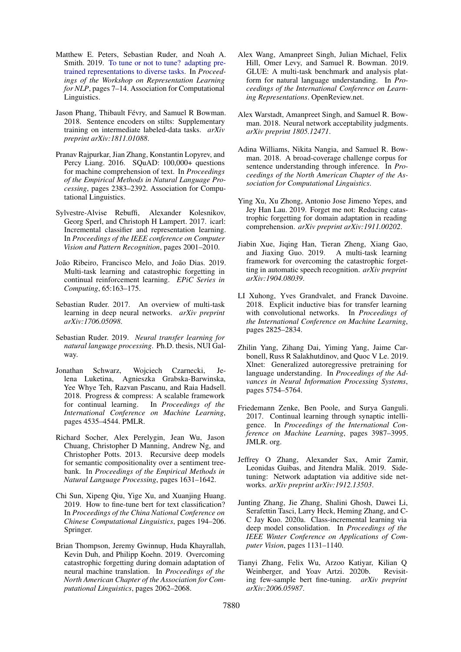- <span id="page-10-2"></span>Matthew E. Peters, Sebastian Ruder, and Noah A. Smith. 2019. [To tune or not to tune? adapting pre](https://doi.org/10.18653/v1/w19-4302)[trained representations to diverse tasks.](https://doi.org/10.18653/v1/w19-4302) In *Proceedings of the Workshop on Representation Learning for NLP*, pages 7–14. Association for Computational Linguistics.
- <span id="page-10-1"></span>Jason Phang, Thibault Févry, and Samuel R Bowman. 2018. Sentence encoders on stilts: Supplementary training on intermediate labeled-data tasks. *arXiv preprint arXiv:1811.01088*.
- <span id="page-10-12"></span>Pranav Rajpurkar, Jian Zhang, Konstantin Lopyrev, and Percy Liang. 2016. SQuAD: 100,000+ questions for machine comprehension of text. In *Proceedings of the Empirical Methods in Natural Language Processing*, pages 2383–2392. Association for Computational Linguistics.
- <span id="page-10-15"></span>Sylvestre-Alvise Rebuffi, Alexander Kolesnikov, Georg Sperl, and Christoph H Lampert. 2017. icarl: Incremental classifier and representation learning. In *Proceedings of the IEEE conference on Computer Vision and Pattern Recognition*, pages 2001–2010.
- <span id="page-10-4"></span>João Ribeiro, Francisco Melo, and João Dias. 2019. Multi-task learning and catastrophic forgetting in continual reinforcement learning. *EPiC Series in Computing*, 65:163–175.
- <span id="page-10-7"></span>Sebastian Ruder. 2017. An overview of multi-task learning in deep neural networks. *arXiv preprint arXiv:1706.05098*.
- <span id="page-10-0"></span>Sebastian Ruder. 2019. *Neural transfer learning for natural language processing*. Ph.D. thesis, NUI Galway.
- <span id="page-10-19"></span>Jonathan Schwarz, Wojciech Czarnecki, Jelena Luketina, Agnieszka Grabska-Barwinska, Yee Whye Teh, Razvan Pascanu, and Raia Hadsell. 2018. Progress & compress: A scalable framework for continual learning. In *Proceedings of the International Conference on Machine Learning*, pages 4535–4544. PMLR.
- <span id="page-10-10"></span>Richard Socher, Alex Perelygin, Jean Wu, Jason Chuang, Christopher D Manning, Andrew Ng, and Christopher Potts. 2013. Recursive deep models for semantic compositionality over a sentiment treebank. In *Proceedings of the Empirical Methods in Natural Language Processing*, pages 1631–1642.
- <span id="page-10-20"></span>Chi Sun, Xipeng Qiu, Yige Xu, and Xuanjing Huang. 2019. How to fine-tune bert for text classification? In *Proceedings of the China National Conference on Chinese Computational Linguistics*, pages 194–206. Springer.
- <span id="page-10-5"></span>Brian Thompson, Jeremy Gwinnup, Huda Khayrallah, Kevin Duh, and Philipp Koehn. 2019. Overcoming catastrophic forgetting during domain adaptation of neural machine translation. In *Proceedings of the North American Chapter of the Association for Computational Linguistics*, pages 2062–2068.
- <span id="page-10-8"></span>Alex Wang, Amanpreet Singh, Julian Michael, Felix Hill, Omer Levy, and Samuel R. Bowman. 2019. GLUE: A multi-task benchmark and analysis platform for natural language understanding. In *Proceedings of the International Conference on Learning Representations*. OpenReview.net.
- <span id="page-10-9"></span>Alex Warstadt, Amanpreet Singh, and Samuel R. Bowman. 2018. Neural network acceptability judgments. *arXiv preprint 1805.12471*.
- <span id="page-10-11"></span>Adina Williams, Nikita Nangia, and Samuel R. Bowman. 2018. A broad-coverage challenge corpus for sentence understanding through inference. In *Proceedings of the North American Chapter of the Association for Computational Linguistics*.
- <span id="page-10-6"></span>Ying Xu, Xu Zhong, Antonio Jose Jimeno Yepes, and Jey Han Lau. 2019. Forget me not: Reducing catastrophic forgetting for domain adaptation in reading comprehension. *arXiv preprint arXiv:1911.00202*.
- <span id="page-10-3"></span>Jiabin Xue, Jiqing Han, Tieran Zheng, Xiang Gao, and Jiaxing Guo. 2019. A multi-task learning framework for overcoming the catastrophic forgetting in automatic speech recognition. *arXiv preprint arXiv:1904.08039*.
- <span id="page-10-18"></span>LI Xuhong, Yves Grandvalet, and Franck Davoine. 2018. Explicit inductive bias for transfer learning with convolutional networks. In *Proceedings of the International Conference on Machine Learning*, pages 2825–2834.
- <span id="page-10-13"></span>Zhilin Yang, Zihang Dai, Yiming Yang, Jaime Carbonell, Russ R Salakhutdinov, and Quoc V Le. 2019. Xlnet: Generalized autoregressive pretraining for language understanding. In *Proceedings of the Advances in Neural Information Processing Systems*, pages 5754–5764.
- <span id="page-10-17"></span>Friedemann Zenke, Ben Poole, and Surya Ganguli. 2017. Continual learning through synaptic intelligence. In *Proceedings of the International Conference on Machine Learning*, pages 3987–3995. JMLR. org.
- <span id="page-10-21"></span>Jeffrey O Zhang, Alexander Sax, Amir Zamir, Leonidas Guibas, and Jitendra Malik. 2019. Sidetuning: Network adaptation via additive side networks. *arXiv preprint arXiv:1912.13503*.
- <span id="page-10-16"></span>Junting Zhang, Jie Zhang, Shalini Ghosh, Dawei Li, Serafettin Tasci, Larry Heck, Heming Zhang, and C-C Jay Kuo. 2020a. Class-incremental learning via deep model consolidation. In *Proceedings of the IEEE Winter Conference on Applications of Computer Vision*, pages 1131–1140.
- <span id="page-10-14"></span>Tianyi Zhang, Felix Wu, Arzoo Katiyar, Kilian Q Weinberger, and Yoav Artzi. 2020b. Revisiting few-sample bert fine-tuning. *arXiv preprint arXiv:2006.05987*.